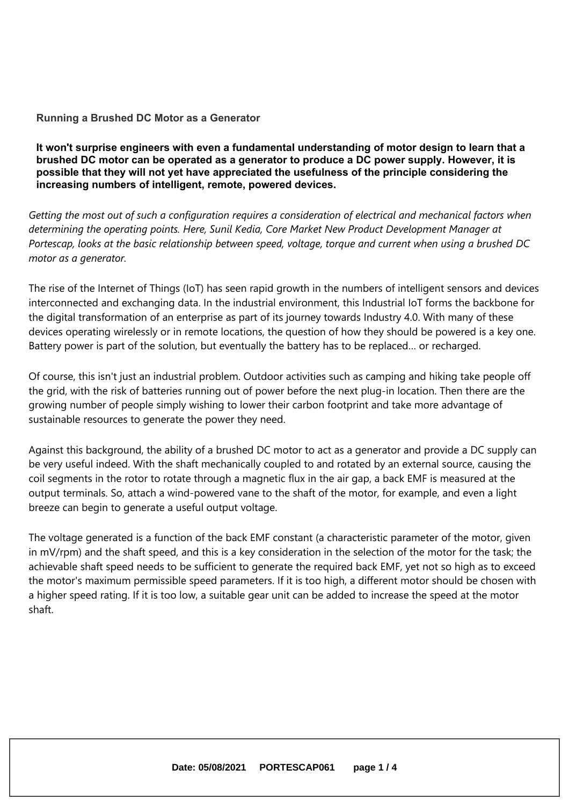### **Running <sup>a</sup> Brushed DC Motor as <sup>a</sup> Generator**

**It won't surprise engineers with even <sup>a</sup> fundamental understanding of motor design to learn that <sup>a</sup> brushed DC motor can be operated as <sup>a</sup> generator to produce <sup>a</sup> DC power supply. However, it is possible that they will not yet have appreciated the usefulness of the principle considering the increasing numbers of intelligent, remote, powered devices.**

Getting the most out of such a configuration reguires a consideration of electrical and mechanical factors when *determining the operating points. Here, Sunil Kedia, Core Market New Product Development Manager at* Portescap, looks at the basic relationship between speed, voltage, torque and current when using a brushed DC *motor as <sup>a</sup> generator.*

The rise of the Internet of Things (IoT) has seen rapid growth in the numbers of intelligent sensors and devices interconnected and exchanging data. In the industrial environment, this Industrial IoT forms the backbone for the digital transformation of an enterprise as part of its journey towards Industry 4.0. With many of these devices operating wirelessly or in remote locations, the question of how they should be powered is <sup>a</sup> key one. Battery power is part of the solution, but eventually the battery has to be replaced… or recharged.

Of course, this isn't just an industrial problem. Outdoor activities such as camping and hiking take people off the grid, with the risk of batteries running out of power before the next plug-in location. Then there are the growing number of people simply wishing to lower their carbon footprint and take more advantage of sustainable resources to generate the power they need.

Against this background, the ability of <sup>a</sup> brushed DC motor to act as <sup>a</sup> generator and provide <sup>a</sup> DC supply can be very useful indeed. With the shaft mechanically coupled to and rotated by an external source, causing the coil segments in the rotor to rotate through <sup>a</sup> magnetic flux in the air gap, <sup>a</sup> back EMF is measured at the output terminals. So, attach <sup>a</sup> wind-powered vane to the shaft of the motor, for example, and even <sup>a</sup> light breeze can begin to generate <sup>a</sup> useful output voltage.

The voltage generated is <sup>a</sup> function of the back EMF constant (a characteristic parameter of the motor, given in mV/rpm) and the shaft speed, and this is <sup>a</sup> key consideration in the selection of the motor for the task; the achievable shaft speed needs to be sufficient to generate the required back EMF, yet not so high as to exceed the motor's maximum permissible speed parameters. If it is too high, <sup>a</sup> different motor should be chosen with <sup>a</sup> higher speed rating. If it is too low, <sup>a</sup> suitable gear unit can be added to increase the speed at the motor shaft.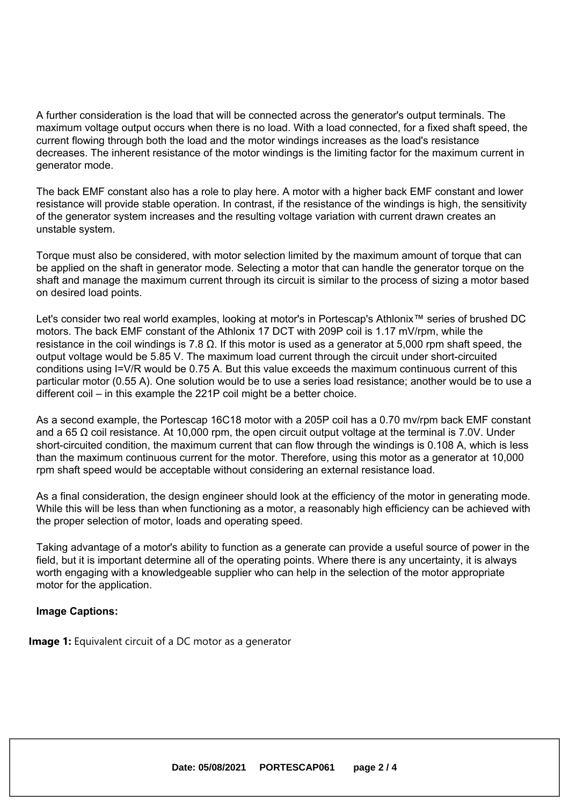A further consideration is the load that will be connected across the generator's output terminals. The maximum voltage output occurs when there is no load. With <sup>a</sup> load connected, for <sup>a</sup> fixed shaft speed, the current flowing through both the load and the motor windings increases as the load's resistance decreases. The inherent resistance of the motor windings is the limiting factor for the maximum current in generator mode.

The back EMF constant also has <sup>a</sup> role to play here. A motor with <sup>a</sup> higher back EMF constant and lower resistance will provide stable operation. In contrast, if the resistance of the windings is high, the sensitivity of the generator system increases and the resulting voltage variation with current drawn creates an unstable system.

Torque must also be considered, with motor selection limited by the maximum amount of torque that can be applied on the shaft in generator mode. Selecting <sup>a</sup> motor that can handle the generator torque on the shaft and manage the maximum current through its circuit is similar to the process of sizing <sup>a</sup> motor based on desired load points.

Let's consider two real world examples, looking at motor's in Portescap's Athlonix™ series of brushed DC motors. The back EMF constant of the Athlonix 17 DCT with 209P coil is 1.17 mV/rpm, while the resistance in the coil windings is 7.8  $\Omega$ . If this motor is used as a generator at 5,000 rpm shaft speed, the output voltage would be 5.85 V. The maximum load current through the circuit under short-circuited conditions using I=V/R would be 0.75 A. But this value exceeds the maximum continuous current of this particular motor (0.55 A). One solution would be to use <sup>a</sup> series load resistance; another would be to use <sup>a</sup> different coil – in this example the 221P coil might be <sup>a</sup> better choice.

As <sup>a</sup> second example, the Portescap 16C18 motor with <sup>a</sup> 205P coil has <sup>a</sup> 0.70 mv/rpm back EMF constant and a 65  $\Omega$  coil resistance. At 10,000 rpm, the open circuit output voltage at the terminal is 7.0V. Under short-circuited condition, the maximum current that can flow through the windings is 0.108 A, which is less than the maximum continuous current for the motor. Therefore, using this motor as <sup>a</sup> generator at 10,000 rpm shaft speed would be acceptable without considering an external resistance load.

As <sup>a</sup> final consideration, the design engineer should look at the efficiency of the motor in generating mode. While this will be less than when functioning as <sup>a</sup> motor, <sup>a</sup> reasonably high efficiency can be achieved with the proper selection of motor, loads and operating speed.

Taking advantage of <sup>a</sup> motor's ability to function as <sup>a</sup> generate can provide <sup>a</sup> useful source of power in the field, but it is important determine all of the operating points. Where there is any uncertainty, it is always worth engaging with <sup>a</sup> knowledgeable supplier who can help in the selection of the motor appropriate motor for the application.

### **Image Captions:**

**Image 1:** Equivalent circuit of <sup>a</sup> DC motor as <sup>a</sup> generator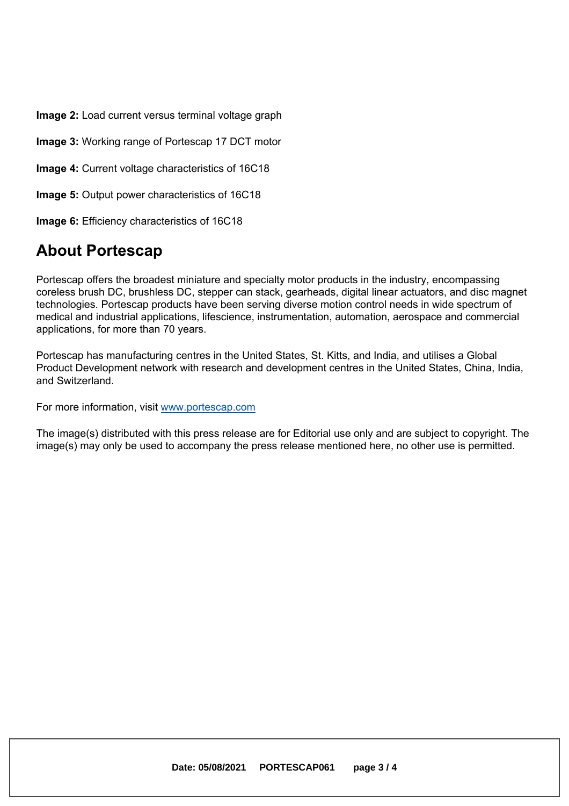**Image 2:** Load current versus terminal voltage graph

**Image 3:** Working range of Portescap 17 DCT motor

**Image 4:** Current voltage characteristics of 16C18

**Image 5:** Output power characteristics of 16C18

**Image 6:** Efficiency characteristics of 16C18

### **About Portescap**

Portescap offers the broadest miniature and specialty motor products in the industry, encompassing coreless brush DC, brushless DC, stepper can stack, gearheads, digital linear actuators, and disc magnet technologies. Portescap products have been serving diverse motion control needs in wide spectrum of medical and industrial applications, lifescience, instrumentation, automation, aerospace and commercial applications, for more than 70 years.

Portescap has manufacturing centres in the United States, St. Kitts, and India, and utilises <sup>a</sup> Global Product Development network with research and development centres in the United States, China, India, and Switzerland.

For more information, visit www.portescap.com

The image(s) distributed with this press release are for Editorial use only and are subject to copyright. The image(s) may only be used to accompany the press release mentioned here, no other use is permitted.